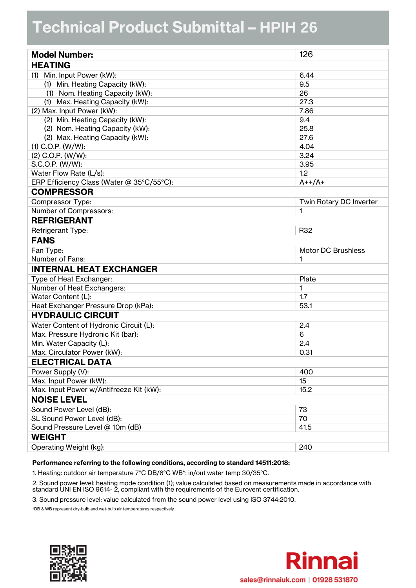## **Technical Product Submittal - HPIH 26**

| <b>Model Number:</b>                      | 126                       |  |  |
|-------------------------------------------|---------------------------|--|--|
| <b>HEATING</b>                            |                           |  |  |
| (1) Min. Input Power (kW):                | 6.44                      |  |  |
| (1) Min. Heating Capacity (kW):           | 9.5                       |  |  |
| (1) Nom. Heating Capacity (kW):           | 26                        |  |  |
| (1) Max. Heating Capacity (kW):           | 27.3                      |  |  |
| (2) Max. Input Power (kW):                | 7.86                      |  |  |
| (2) Min. Heating Capacity (kW):           | 9.4                       |  |  |
| (2) Nom. Heating Capacity (kW):           | 25.8                      |  |  |
| (2) Max. Heating Capacity (kW):           | 27.6                      |  |  |
| $(1)$ C.O.P. $(W/W)$ :                    | 4.04                      |  |  |
| $(2)$ C.O.P. $(W/W)$ :                    | 3.24                      |  |  |
| S.C.O.P. (W/W):                           | 3.95                      |  |  |
| Water Flow Rate (L/s):                    | 1.2                       |  |  |
| ERP Efficiency Class (Water @ 35°C/55°C): | $A++/A+$                  |  |  |
| <b>COMPRESSOR</b>                         |                           |  |  |
| Compressor Type:                          | Twin Rotary DC Inverter   |  |  |
| Number of Compressors:                    | 1                         |  |  |
| <b>REFRIGERANT</b>                        |                           |  |  |
| Refrigerant Type:                         | R32                       |  |  |
| <b>FANS</b>                               |                           |  |  |
| Fan Type:                                 | <b>Motor DC Brushless</b> |  |  |
| Number of Fans:                           | 1                         |  |  |
| <b>INTERNAL HEAT EXCHANGER</b>            |                           |  |  |
| Type of Heat Exchanger:                   | Plate                     |  |  |
| Number of Heat Exchangers:                | 1                         |  |  |
| Water Content (L):                        | 1.7                       |  |  |
| Heat Exchanger Pressure Drop (kPa):       | 53.1                      |  |  |
| <b>HYDRAULIC CIRCUIT</b>                  |                           |  |  |
| Water Content of Hydronic Circuit (L):    | 2.4                       |  |  |
| Max. Pressure Hydronic Kit (bar):         | 6                         |  |  |
| Min. Water Capacity (L):                  | 2.4                       |  |  |
| Max. Circulator Power (kW):               | 0.31                      |  |  |
| <b>ELECTRICAL DATA</b>                    |                           |  |  |
| Power Supply (V):                         | 400                       |  |  |
| Max. Input Power (kW):                    | 15                        |  |  |
| Max. Input Power w/Antifreeze Kit (kW):   | 15.2                      |  |  |
| <b>NOISE LEVEL</b>                        |                           |  |  |
| Sound Power Level (dB):                   | 73                        |  |  |
| SL Sound Power Level (dB):                | 70                        |  |  |
| Sound Pressure Level @ 10m (dB)           | 41.5                      |  |  |
| <b>WEIGHT</b>                             |                           |  |  |
| Operating Weight (kg):                    | 240                       |  |  |

## **Performance referring to the following conditions, according to standard 14511:2018:**

1. Heating: outdoor air temperature 7°C DB/6°C WB\*; in/out water temp 30/35°C.

2. Sound power level: heating mode condition (1); value calculated based on measurements made in accordance with standard UNI EN ISO 9614- 2, compliant with the requirements of the Eurovent certification.

3. Sound pressure level: value calculated from the sound power level using ISO 3744:2010.

\*DB & WB represent dry-bulb and wet-bulb air temperatures respectively



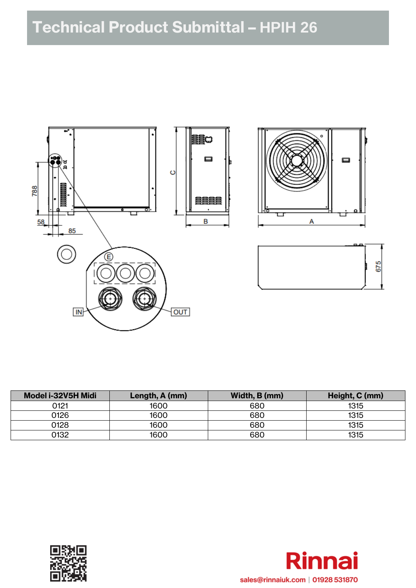

| Model i-32V5H Midi | Length, A (mm) | Width, B (mm) | Height, C (mm) |
|--------------------|----------------|---------------|----------------|
| 0121               | 1600           | 680           | 1315           |
| 0126               | 1600           | 680           | 1315           |
| 0128               | 1600           | 680           | 1315           |
| 0132               | 1600           | 680           | 1315           |